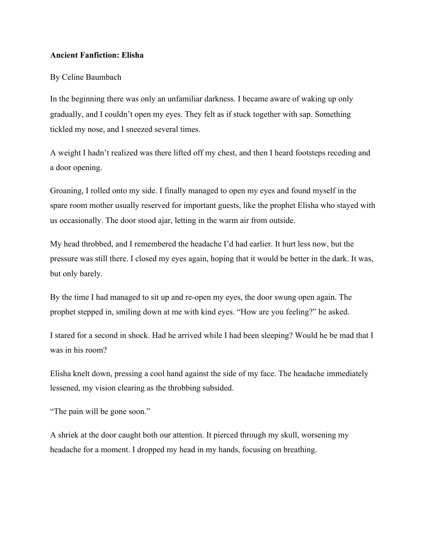## **Ancient Fanfiction: Elisha**

## By Celine Baumbach

In the beginning there was only an unfamiliar darkness. I became aware of waking up only gradually, and I couldn't open my eyes. They felt as if stuck together with sap. Something tickled my nose, and I sneezed several times.

A weight I hadn't realized was there lifted off my chest, and then I heard footsteps receding and a door opening.

Groaning, I rolled onto my side. I finally managed to open my eyes and found myself in the spare room mother usually reserved for important guests, like the prophet Elisha who stayed with us occasionally. The door stood ajar, letting in the warm air from outside.

My head throbbed, and I remembered the headache I'd had earlier. It hurt less now, but the pressure was still there. I closed my eyes again, hoping that it would be better in the dark. It was, but only barely.

By the time I had managed to sit up and re-open my eyes, the door swung open again. The prophet stepped in, smiling down at me with kind eyes. "How are you feeling?" he asked.

I stared for a second in shock. Had he arrived while I had been sleeping? Would he be mad that I was in his room?

Elisha knelt down, pressing a cool hand against the side of my face. The headache immediately lessened, my vision clearing as the throbbing subsided.

"The pain will be gone soon."

A shriek at the door caught both our attention. It pierced through my skull, worsening my headache for a moment. I dropped my head in my hands, focusing on breathing.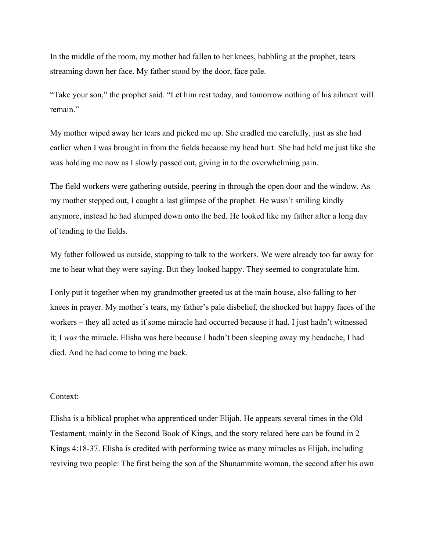In the middle of the room, my mother had fallen to her knees, babbling at the prophet, tears streaming down her face. My father stood by the door, face pale.

"Take your son," the prophet said. "Let him rest today, and tomorrow nothing of his ailment will remain."

My mother wiped away her tears and picked me up. She cradled me carefully, just as she had earlier when I was brought in from the fields because my head hurt. She had held me just like she was holding me now as I slowly passed out, giving in to the overwhelming pain.

The field workers were gathering outside, peering in through the open door and the window. As my mother stepped out, I caught a last glimpse of the prophet. He wasn't smiling kindly anymore, instead he had slumped down onto the bed. He looked like my father after a long day of tending to the fields.

My father followed us outside, stopping to talk to the workers. We were already too far away for me to hear what they were saying. But they looked happy. They seemed to congratulate him.

I only put it together when my grandmother greeted us at the main house, also falling to her knees in prayer. My mother's tears, my father's pale disbelief, the shocked but happy faces of the workers – they all acted as if some miracle had occurred because it had. I just hadn't witnessed it; I *was* the miracle. Elisha was here because I hadn't been sleeping away my headache, I had died. And he had come to bring me back.

## Context:

Elisha is a biblical prophet who apprenticed under Elijah. He appears several times in the Old Testament, mainly in the Second Book of Kings, and the story related here can be found in 2 Kings 4:18-37. Elisha is credited with performing twice as many miracles as Elijah, including reviving two people: The first being the son of the Shunammite woman, the second after his own